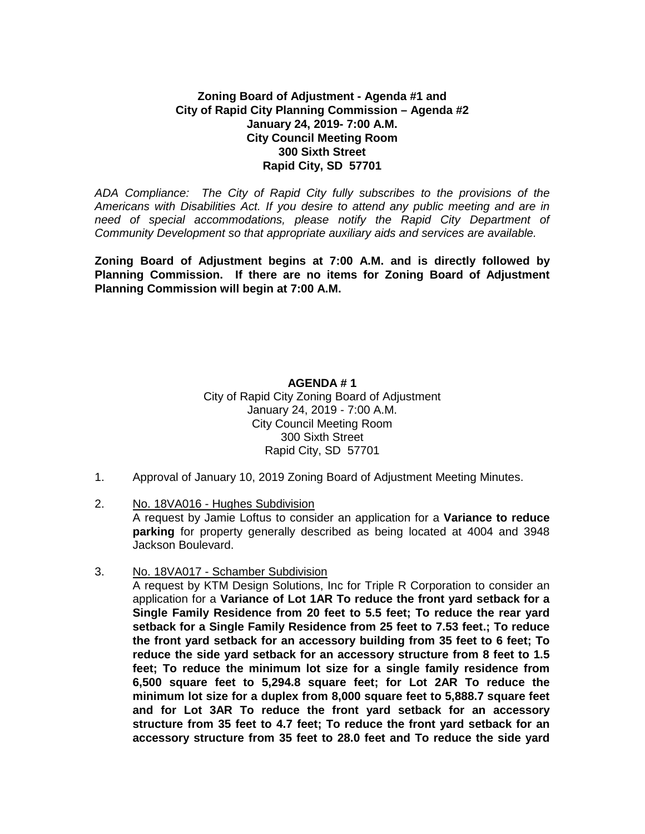## **Zoning Board of Adjustment - Agenda #1 and City of Rapid City Planning Commission – Agenda #2 January 24, 2019- 7:00 A.M. City Council Meeting Room 300 Sixth Street Rapid City, SD 57701**

*ADA Compliance: The City of Rapid City fully subscribes to the provisions of the Americans with Disabilities Act. If you desire to attend any public meeting and are in*  need of special accommodations, please notify the Rapid City Department of *Community Development so that appropriate auxiliary aids and services are available.*

**Zoning Board of Adjustment begins at 7:00 A.M. and is directly followed by Planning Commission. If there are no items for Zoning Board of Adjustment Planning Commission will begin at 7:00 A.M.**

### **AGENDA # 1** City of Rapid City Zoning Board of Adjustment January 24, 2019 - 7:00 A.M. City Council Meeting Room 300 Sixth Street Rapid City, SD 57701

- 1. Approval of January 10, 2019 Zoning Board of Adjustment Meeting Minutes.
- 2. No. 18VA016 Hughes Subdivision

A request by Jamie Loftus to consider an application for a **Variance to reduce parking** for property generally described as being located at 4004 and 3948 Jackson Boulevard.

3. No. 18VA017 - Schamber Subdivision

A request by KTM Design Solutions, Inc for Triple R Corporation to consider an application for a **Variance of Lot 1AR To reduce the front yard setback for a Single Family Residence from 20 feet to 5.5 feet; To reduce the rear yard setback for a Single Family Residence from 25 feet to 7.53 feet.; To reduce the front yard setback for an accessory building from 35 feet to 6 feet; To reduce the side yard setback for an accessory structure from 8 feet to 1.5 feet; To reduce the minimum lot size for a single family residence from 6,500 square feet to 5,294.8 square feet; for Lot 2AR To reduce the minimum lot size for a duplex from 8,000 square feet to 5,888.7 square feet and for Lot 3AR To reduce the front yard setback for an accessory structure from 35 feet to 4.7 feet; To reduce the front yard setback for an accessory structure from 35 feet to 28.0 feet and To reduce the side yard**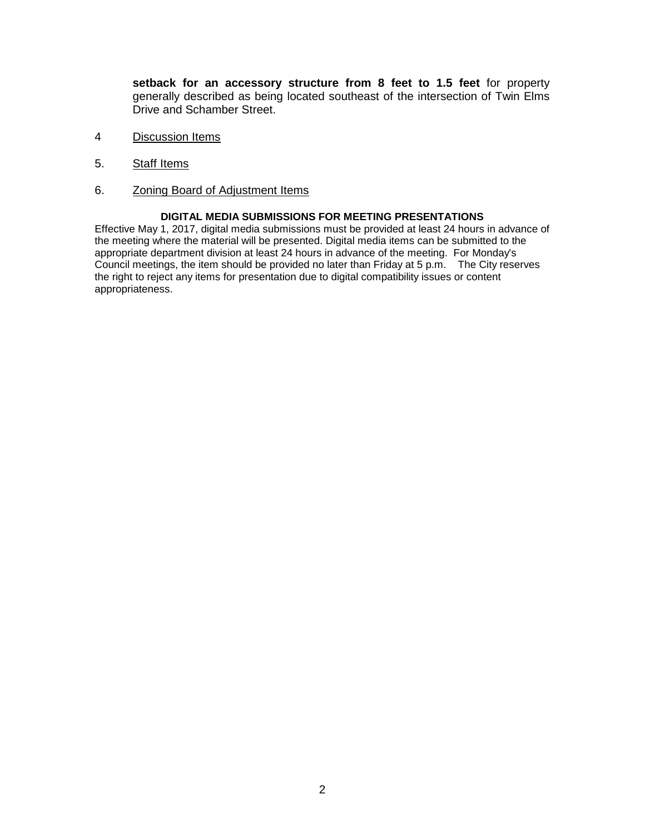**setback for an accessory structure from 8 feet to 1.5 feet** for property generally described as being located southeast of the intersection of Twin Elms Drive and Schamber Street.

- 4 Discussion Items
- 5. Staff Items
- 6. Zoning Board of Adjustment Items

#### **DIGITAL MEDIA SUBMISSIONS FOR MEETING PRESENTATIONS**

Effective May 1, 2017, digital media submissions must be provided at least 24 hours in advance of the meeting where the material will be presented. Digital media items can be submitted to the appropriate department division at least 24 hours in advance of the meeting. For Monday's Council meetings, the item should be provided no later than Friday at 5 p.m. The City reserves the right to reject any items for presentation due to digital compatibility issues or content appropriateness.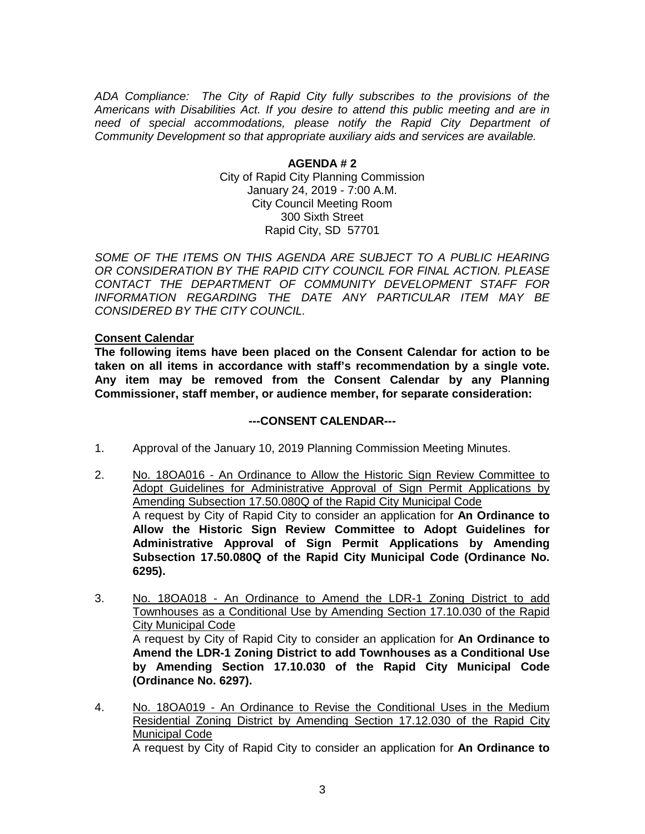*ADA Compliance: The City of Rapid City fully subscribes to the provisions of the Americans with Disabilities Act. If you desire to attend this public meeting and are in need of special accommodations, please notify the Rapid City Department of Community Development so that appropriate auxiliary aids and services are available.*

> **AGENDA # 2** City of Rapid City Planning Commission January 24, 2019 - 7:00 A.M. City Council Meeting Room 300 Sixth Street Rapid City, SD 57701

SOME OF THE ITEMS ON THIS AGENDA ARE SUBJECT TO A PUBLIC HEARING *OR CONSIDERATION BY THE RAPID CITY COUNCIL FOR FINAL ACTION. PLEASE CONTACT THE DEPARTMENT OF COMMUNITY DEVELOPMENT STAFF FOR INFORMATION REGARDING THE DATE ANY PARTICULAR ITEM MAY BE CONSIDERED BY THE CITY COUNCIL.*

### **Consent Calendar**

**The following items have been placed on the Consent Calendar for action to be taken on all items in accordance with staff's recommendation by a single vote. Any item may be removed from the Consent Calendar by any Planning Commissioner, staff member, or audience member, for separate consideration:**

#### **---CONSENT CALENDAR---**

- 1. Approval of the January 10, 2019 Planning Commission Meeting Minutes.
- 2. No. 18OA016 An Ordinance to Allow the Historic Sign Review Committee to Adopt Guidelines for Administrative Approval of Sign Permit Applications by Amending Subsection 17.50.080Q of the Rapid City Municipal Code A request by City of Rapid City to consider an application for **An Ordinance to Allow the Historic Sign Review Committee to Adopt Guidelines for Administrative Approval of Sign Permit Applications by Amending Subsection 17.50.080Q of the Rapid City Municipal Code (Ordinance No. 6295).**
- 3. No. 18OA018 An Ordinance to Amend the LDR-1 Zoning District to add Townhouses as a Conditional Use by Amending Section 17.10.030 of the Rapid City Municipal Code A request by City of Rapid City to consider an application for **An Ordinance to Amend the LDR-1 Zoning District to add Townhouses as a Conditional Use by Amending Section 17.10.030 of the Rapid City Municipal Code (Ordinance No. 6297).**
- 4. No. 18OA019 An Ordinance to Revise the Conditional Uses in the Medium Residential Zoning District by Amending Section 17.12.030 of the Rapid City Municipal Code A request by City of Rapid City to consider an application for **An Ordinance to**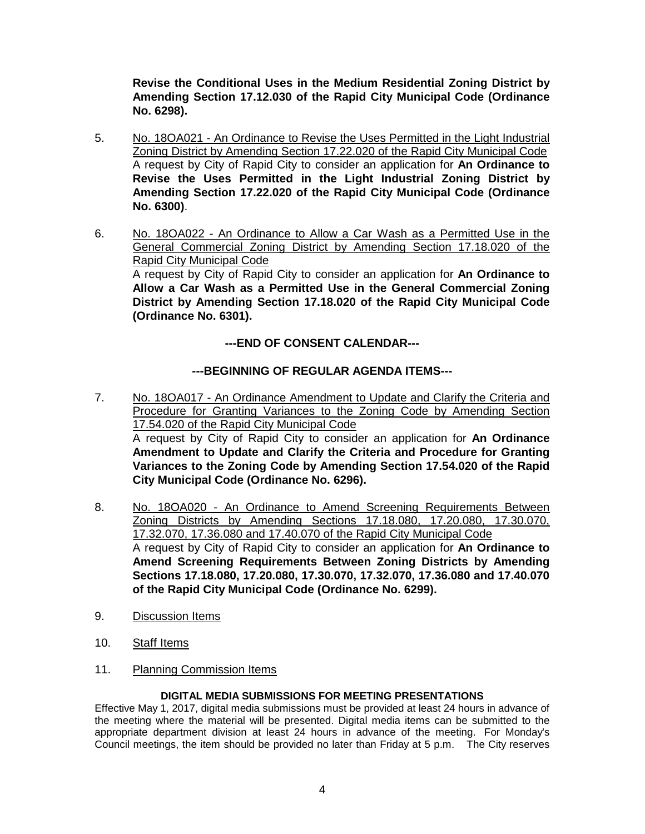**Revise the Conditional Uses in the Medium Residential Zoning District by Amending Section 17.12.030 of the Rapid City Municipal Code (Ordinance No. 6298).**

- 5. No. 18OA021 An Ordinance to Revise the Uses Permitted in the Light Industrial Zoning District by Amending Section 17.22.020 of the Rapid City Municipal Code A request by City of Rapid City to consider an application for **An Ordinance to Revise the Uses Permitted in the Light Industrial Zoning District by Amending Section 17.22.020 of the Rapid City Municipal Code (Ordinance No. 6300)**.
- 6. No. 18OA022 An Ordinance to Allow a Car Wash as a Permitted Use in the General Commercial Zoning District by Amending Section 17.18.020 of the Rapid City Municipal Code A request by City of Rapid City to consider an application for **An Ordinance to Allow a Car Wash as a Permitted Use in the General Commercial Zoning District by Amending Section 17.18.020 of the Rapid City Municipal Code (Ordinance No. 6301).**

# **---END OF CONSENT CALENDAR---**

# **---BEGINNING OF REGULAR AGENDA ITEMS---**

- 7. No. 18OA017 An Ordinance Amendment to Update and Clarify the Criteria and Procedure for Granting Variances to the Zoning Code by Amending Section 17.54.020 of the Rapid City Municipal Code A request by City of Rapid City to consider an application for **An Ordinance Amendment to Update and Clarify the Criteria and Procedure for Granting Variances to the Zoning Code by Amending Section 17.54.020 of the Rapid City Municipal Code (Ordinance No. 6296).**
- 8. No. 18OA020 An Ordinance to Amend Screening Requirements Between Zoning Districts by Amending Sections 17.18.080, 17.20.080, 17.30.070, 17.32.070, 17.36.080 and 17.40.070 of the Rapid City Municipal Code A request by City of Rapid City to consider an application for **An Ordinance to Amend Screening Requirements Between Zoning Districts by Amending Sections 17.18.080, 17.20.080, 17.30.070, 17.32.070, 17.36.080 and 17.40.070 of the Rapid City Municipal Code (Ordinance No. 6299).**
- 9. Discussion Items
- 10. Staff Items
- 11. Planning Commission Items

## **DIGITAL MEDIA SUBMISSIONS FOR MEETING PRESENTATIONS**

Effective May 1, 2017, digital media submissions must be provided at least 24 hours in advance of the meeting where the material will be presented. Digital media items can be submitted to the appropriate department division at least 24 hours in advance of the meeting. For Monday's Council meetings, the item should be provided no later than Friday at 5 p.m. The City reserves